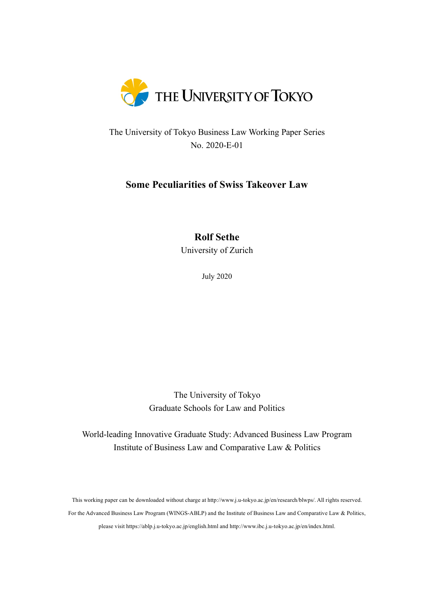

The University of Tokyo Business Law Working Paper Series No. 2020-E-01

# **Some Peculiarities of Swiss Takeover Law**

# **Rolf Sethe**

University of Zurich

July 2020

The University of Tokyo Graduate Schools for Law and Politics

World-leading Innovative Graduate Study: Advanced Business Law Program Institute of Business Law and Comparative Law & Politics

This working paper can be downloaded without charge at http://www.j.u-tokyo.ac.jp/en/research/blwps/. All rights reserved. For the Advanced Business Law Program (WINGS-ABLP) and the Institute of Business Law and Comparative Law & Politics, please visit https://ablp.j.u-tokyo.ac.jp/english.html and http://www.ibc.j.u-tokyo.ac.jp/en/index.html.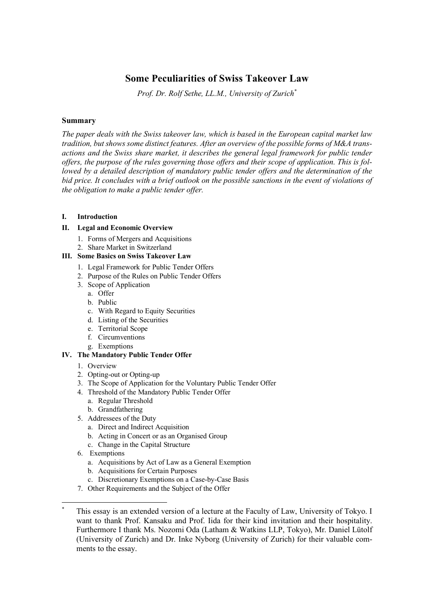## **Some Peculiarities of Swiss Takeover Law**

*Prof. Dr. Rolf Sethe, LL.M., University of Zurich\**

#### **Summary**

*The paper deals with the Swiss takeover law, which is based in the European capital market law tradition, but shows some distinct features. After an overview of the possible forms of M&A transactions and the Swiss share market, it describes the general legal framework for public tender offers, the purpose of the rules governing those offers and their scope of application. This is followed by a detailed description of mandatory public tender offers and the determination of the bid price. It concludes with a brief outlook on the possible sanctions in the event of violations of the obligation to make a public tender offer.*

#### **I. Introduction**

#### **II. Legal and Economic Overview**

- 1. Forms of Mergers and Acquisitions
- 2. Share Market in Switzerland

#### **III. Some Basics on Swiss Takeover Law**

- 1. Legal Framework for Public Tender Offers
- 2. Purpose of the Rules on Public Tender Offers
- 3. Scope of Application
	- a. Offer
	- b. Public
	- c. With Regard to Equity Securities
	- d. Listing of the Securities
	- e. Territorial Scope
	- f. Circumventions
	- g. Exemptions

## **IV. The Mandatory Public Tender Offer**

- 1. Overview
- 2. Opting-out or Opting-up
- 3. The Scope of Application for the Voluntary Public Tender Offer
- 4. Threshold of the Mandatory Public Tender Offer
	- a. Regular Threshold
	- b. Grandfathering
- 5. Addressees of the Duty
	- a. Direct and Indirect Acquisition
	- b. Acting in Concert or as an Organised Group
	- c. Change in the Capital Structure
- 6. Exemptions
	- a. Acquisitions by Act of Law as a General Exemption
	- b. Acquisitions for Certain Purposes
	- c. Discretionary Exemptions on a Case-by-Case Basis
- 7. Other Requirements and the Subject of the Offer

This essay is an extended version of a lecture at the Faculty of Law, University of Tokyo. I want to thank Prof. Kansaku and Prof. Iida for their kind invitation and their hospitality. Furthermore I thank Ms. Nozomi Oda (Latham & Watkins LLP, Tokyo), Mr. Daniel Lütolf (University of Zurich) and Dr. Inke Nyborg (University of Zurich) for their valuable comments to the essay.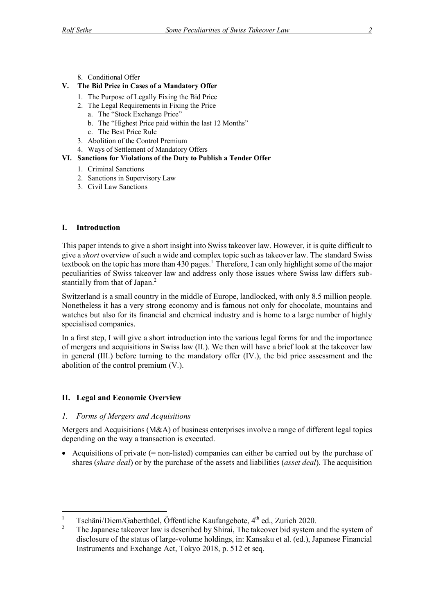8. Conditional Offer

## **V. The Bid Price in Cases of a Mandatory Offer**

- 1. The Purpose of Legally Fixing the Bid Price
- 2. The Legal Requirements in Fixing the Price
	- a. The "Stock Exchange Price"
	- b. The "Highest Price paid within the last 12 Months"
	- c. The Best Price Rule
- 3. Abolition of the Control Premium
- 4. Ways of Settlement of Mandatory Offers

#### **VI. Sanctions for Violations of the Duty to Publish a Tender Offer**

- 1. Criminal Sanctions
- 2. Sanctions in Supervisory Law
- 3. Civil Law Sanctions

## **I. Introduction**

This paper intends to give a short insight into Swiss takeover law. However, it is quite difficult to give a *short* overview of such a wide and complex topic such as takeover law. The standard Swiss textbook on the topic has more than 430 pages.<sup>1</sup> Therefore, I can only highlight some of the major peculiarities of Swiss takeover law and address only those issues where Swiss law differs substantially from that of Japan.<sup>2</sup>

Switzerland is a small country in the middle of Europe, landlocked, with only 8.5 million people. Nonetheless it has a very strong economy and is famous not only for chocolate, mountains and watches but also for its financial and chemical industry and is home to a large number of highly specialised companies.

In a first step, I will give a short introduction into the various legal forms for and the importance of mergers and acquisitions in Swiss law (II.). We then will have a brief look at the takeover law in general (III.) before turning to the mandatory offer (IV.), the bid price assessment and the abolition of the control premium (V.).

## **II. Legal and Economic Overview**

#### *1. Forms of Mergers and Acquisitions*

Mergers and Acquisitions (M&A) of business enterprises involve a range of different legal topics depending on the way a transaction is executed.

• Acquisitions of private (= non-listed) companies can either be carried out by the purchase of shares (*share deal*) or by the purchase of the assets and liabilities (*asset deal*). The acquisition

<sup>1</sup> Tschäni/Diem/Gaberthüel, Öffentliche Kaufangebote,  $4^{\text{th}}$  ed., Zurich 2020.

<sup>2</sup> The Japanese takeover law is described by Shirai, The takeover bid system and the system of disclosure of the status of large-volume holdings, in: Kansaku et al. (ed.), Japanese Financial Instruments and Exchange Act, Tokyo 2018, p. 512 et seq.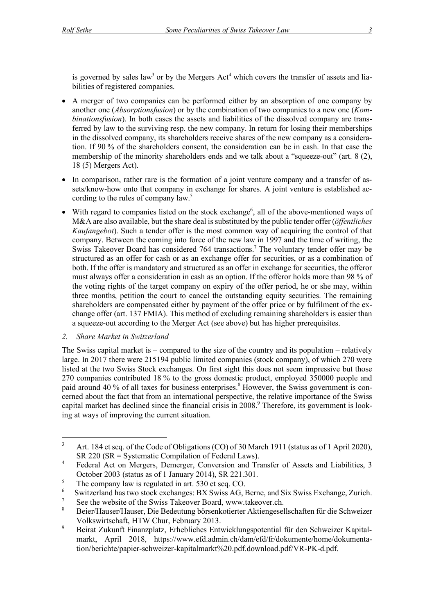is governed by sales law<sup>3</sup> or by the Mergers Act<sup>4</sup> which covers the transfer of assets and liabilities of registered companies.

- A merger of two companies can be performed either by an absorption of one company by another one (*Absorptionsfusion*) or by the combination of two companies to a new one (*Kombinationsfusion*). In both cases the assets and liabilities of the dissolved company are transferred by law to the surviving resp. the new company. In return for losing their memberships in the dissolved company, its shareholders receive shares of the new company as a consideration. If 90 % of the shareholders consent, the consideration can be in cash. In that case the membership of the minority shareholders ends and we talk about a "squeeze-out" (art. 8 (2), 18 (5) Mergers Act).
- In comparison, rather rare is the formation of a joint venture company and a transfer of assets/know-how onto that company in exchange for shares. A joint venture is established according to the rules of company law.<sup>5</sup>
- With regard to companies listed on the stock exchange<sup>6</sup>, all of the above-mentioned ways of M&A are also available, but the share deal is substituted by the public tender offer (*öffentliches Kaufangebot*). Such a tender offer is the most common way of acquiring the control of that company. Between the coming into force of the new law in 1997 and the time of writing, the Swiss Takeover Board has considered 764 transactions.<sup>7</sup> The voluntary tender offer may be structured as an offer for cash or as an exchange offer for securities, or as a combination of both. If the offer is mandatory and structured as an offer in exchange for securities, the offeror must always offer a consideration in cash as an option. If the offeror holds more than 98 % of the voting rights of the target company on expiry of the offer period, he or she may, within three months, petition the court to cancel the outstanding equity securities. The remaining shareholders are compensated either by payment of the offer price or by fulfilment of the exchange offer (art. 137 FMIA). This method of excluding remaining shareholders is easier than a squeeze-out according to the Merger Act (see above) but has higher prerequisites.

## *2. Share Market in Switzerland*

The Swiss capital market is – compared to the size of the country and its population – relatively large. In 2017 there were 215194 public limited companies (stock company), of which 270 were listed at the two Swiss Stock exchanges. On first sight this does not seem impressive but those 270 companies contributed 18 % to the gross domestic product, employed 350000 people and paid around 40 % of all taxes for business enterprises.<sup>8</sup> However, the Swiss government is concerned about the fact that from an international perspective, the relative importance of the Swiss capital market has declined since the financial crisis in 2008.<sup>9</sup> Therefore, its government is looking at ways of improving the current situation.

<sup>&</sup>lt;sup>3</sup> Art. 184 et seq. of the Code of Obligations (CO) of 30 March 1911 (status as of 1 April 2020), SR 220 (SR = Systematic Compilation of Federal Laws).

<sup>&</sup>lt;sup>4</sup> Federal Act on Mergers, Demerger, Conversion and Transfer of Assets and Liabilities, 3 October 2003 (status as of 1 January 2014), SR 221.301.

 $5$  The company law is regulated in art. 530 et seq. CO.

<sup>6</sup> Switzerland has two stock exchanges: BX Swiss AG, Berne, and Six Swiss Exchange, Zurich.

<sup>&</sup>lt;sup>7</sup> See the website of the Swiss Takeover Board, www.takeover.ch.<br><sup>8</sup> Boian/Hausen/Hausen Die Bodautung hörzoglastischen Altiengesel

<sup>8</sup> Beier/Hauser/Hauser, Die Bedeutung börsenkotierter Aktiengesellschaften für die Schweizer Volkswirtschaft, HTW Chur, February 2013.

<sup>9</sup> Beirat Zukunft Finanzplatz, Erhebliches Entwicklungspotential für den Schweizer Kapitalmarkt, April 2018, https://www.efd.admin.ch/dam/efd/fr/dokumente/home/dokumentation/berichte/papier-schweizer-kapitalmarkt%20.pdf.download.pdf/VR-PK-d.pdf.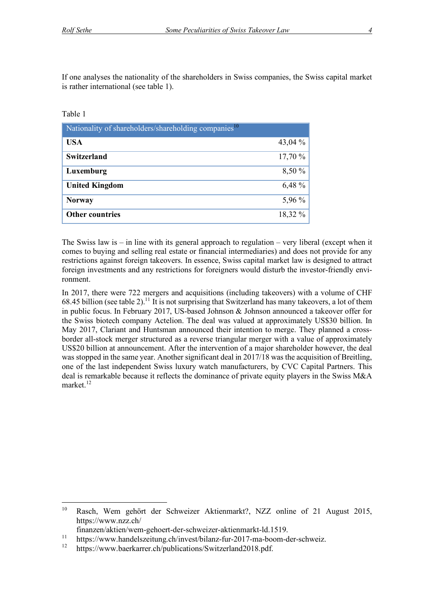If one analyses the nationality of the shareholders in Swiss companies, the Swiss capital market is rather international (see table 1).

#### Table 1

| Nationality of shareholders/shareholding companies <sup>10</sup> |           |  |
|------------------------------------------------------------------|-----------|--|
| <b>USA</b>                                                       | 43,04 $%$ |  |
| <b>Switzerland</b>                                               | 17,70 %   |  |
| Luxemburg                                                        | 8,50 %    |  |
| <b>United Kingdom</b>                                            | 6,48 %    |  |
| <b>Norway</b>                                                    | 5,96 %    |  |
| <b>Other countries</b>                                           | 18,32 %   |  |

The Swiss law is – in line with its general approach to regulation – very liberal (except when it comes to buying and selling real estate or financial intermediaries) and does not provide for any restrictions against foreign takeovers. In essence, Swiss capital market law is designed to attract foreign investments and any restrictions for foreigners would disturb the investor-friendly environment.

In 2017, there were 722 mergers and acquisitions (including takeovers) with a volume of CHF 68.45 billion (see table 2).<sup>11</sup> It is not surprising that Switzerland has many takeovers, a lot of them in public focus. In February 2017, US-based Johnson & Johnson announced a takeover offer for the Swiss biotech company Actelion. The deal was valued at approximately US\$30 billion. In May 2017, Clariant and Huntsman announced their intention to merge. They planned a crossborder all-stock merger structured as a reverse triangular merger with a value of approximately US\$20 billion at announcement. After the intervention of a major shareholder however, the deal was stopped in the same year. Another significant deal in 2017/18 was the acquisition of Breitling, one of the last independent Swiss luxury watch manufacturers, by CVC Capital Partners. This deal is remarkable because it reflects the dominance of private equity players in the Swiss M&A market. 12

 <sup>10</sup> Rasch, Wem gehört der Schweizer Aktienmarkt?, NZZ online of 21 August 2015, https://www.nzz.ch/

finanzen/aktien/wem-gehoert-der-schweizer-aktienmarkt-ld.1519.

<sup>11</sup> https://www.handelszeitung.ch/invest/bilanz-fur-2017-ma-boom-der-schweiz.

<sup>12</sup> https://www.baerkarrer.ch/publications/Switzerland2018.pdf.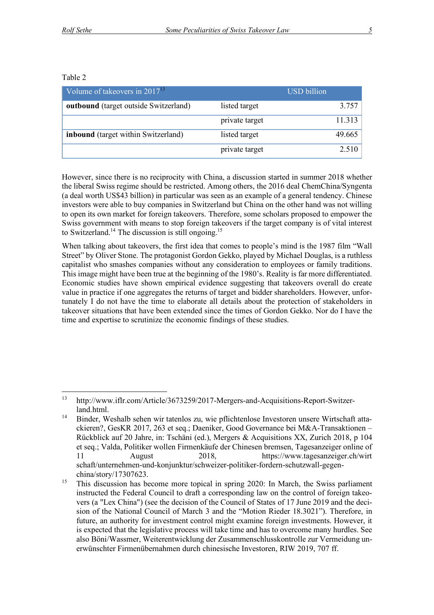#### Table 2

| Volume of takeovers in $2017^{13}$           |                | <b>USD</b> billion |
|----------------------------------------------|----------------|--------------------|
| <b>outbound</b> (target outside Switzerland) | listed target  | 3.757              |
|                                              | private target | 11.313             |
| <b>inbound</b> (target within Switzerland)   | listed target  | 49.665             |
|                                              | private target | 2.510              |

However, since there is no reciprocity with China, a discussion started in summer 2018 whether the liberal Swiss regime should be restricted. Among others, the 2016 deal ChemChina/Syngenta (a deal worth US\$43 billion) in particular was seen as an example of a general tendency. Chinese investors were able to buy companies in Switzerland but China on the other hand was not willing to open its own market for foreign takeovers. Therefore, some scholars proposed to empower the Swiss government with means to stop foreign takeovers if the target company is of vital interest to Switzerland.<sup>14</sup> The discussion is still ongoing.<sup>15</sup>

When talking about takeovers, the first idea that comes to people's mind is the 1987 film "Wall Street" by Oliver Stone. The protagonist Gordon Gekko, played by Michael Douglas, is a ruthless capitalist who smashes companies without any consideration to employees or family traditions. This image might have been true at the beginning of the 1980's. Reality is far more differentiated. Economic studies have shown empirical evidence suggesting that takeovers overall do create value in practice if one aggregates the returns of target and bidder shareholders. However, unfortunately I do not have the time to elaborate all details about the protection of stakeholders in takeover situations that have been extended since the times of Gordon Gekko. Nor do I have the time and expertise to scrutinize the economic findings of these studies.

 <sup>13</sup> http://www.iflr.com/Article/3673259/2017-Mergers-and-Acquisitions-Report-Switzerland.html.

<sup>14</sup> Binder, Weshalb sehen wir tatenlos zu, wie pflichtenlose Investoren unsere Wirtschaft attackieren?, GesKR 2017, 263 et seq.; Daeniker, Good Governance bei M&A-Transaktionen – Rückblick auf 20 Jahre, in: Tschäni (ed.), Mergers & Acquisitions XX, Zurich 2018, p 104 et seq.; Valda, Politiker wollen Firmenkäufe der Chinesen bremsen, Tagesanzeiger online of 11 August 2018, https://www.tagesanzeiger.ch/wirt schaft/unternehmen-und-konjunktur/schweizer-politiker-fordern-schutzwall-gegenchina/story/17307623.

<sup>&</sup>lt;sup>15</sup> This discussion has become more topical in spring 2020: In March, the Swiss parliament instructed the Federal Council to draft a corresponding law on the control of foreign takeovers (a "Lex China") (see the decision of the Council of States of 17 June 2019 and the decision of the National Council of March 3 and the "Motion Rieder 18.3021"). Therefore, in future, an authority for investment control might examine foreign investments. However, it is expected that the legislative process will take time and has to overcome many hurdles. See also Böni/Wassmer, Weiterentwicklung der Zusammenschlusskontrolle zur Vermeidung unerwünschter Firmenübernahmen durch chinesische Investoren, RIW 2019, 707 ff.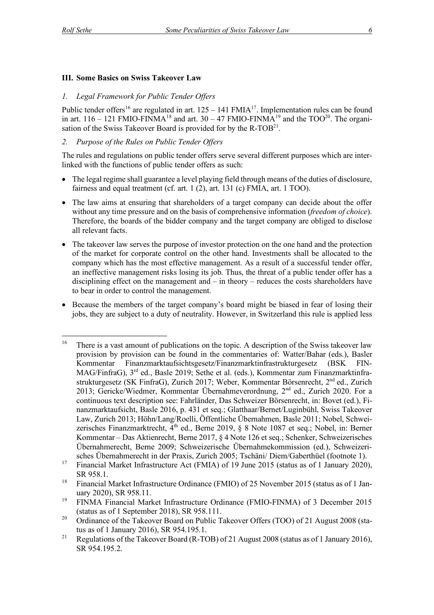## **III. Some Basics on Swiss Takeover Law**

#### *1. Legal Framework for Public Tender Offers*

Public tender offers<sup>16</sup> are regulated in art.  $125 - 141$  FMIA<sup>17</sup>. Implementation rules can be found in art.  $116 - 121$  FMIO-FINMA<sup>18</sup> and art.  $30 - 47$  FMIO-FINMA<sup>19</sup> and the TOO<sup>20</sup>. The organisation of the Swiss Takeover Board is provided for by the  $R\text{-}TOB<sup>21</sup>$ .

## *2. Purpose of the Rules on Public Tender Offers*

The rules and regulations on public tender offers serve several different purposes which are interlinked with the functions of public tender offers as such:

- The legal regime shall guarantee a level playing field through means of the duties of disclosure, fairness and equal treatment (cf. art. 1 (2), art. 131 (c) FMIA, art. 1 TOO).
- The law aims at ensuring that shareholders of a target company can decide about the offer without any time pressure and on the basis of comprehensive information (*freedom of choice*). Therefore, the boards of the bidder company and the target company are obliged to disclose all relevant facts.
- The takeover law serves the purpose of investor protection on the one hand and the protection of the market for corporate control on the other hand. Investments shall be allocated to the company which has the most effective management. As a result of a successful tender offer, an ineffective management risks losing its job. Thus, the threat of a public tender offer has a disciplining effect on the management and – in theory – reduces the costs shareholders have to bear in order to control the management.
- Because the members of the target company's board might be biased in fear of losing their jobs, they are subject to a duty of neutrality. However, in Switzerland this rule is applied less

<sup>&</sup>lt;sup>16</sup> There is a vast amount of publications on the topic. A description of the Swiss takeover law provision by provision can be found in the commentaries of: Watter/Bahar (eds.), Basler Kommentar Finanzmarktaufsichtsgesetz/Finanzmarktinfrastrukturgesetz (BSK FIN-MAG/FinfraG), 3rd ed., Basle 2019; Sethe et al. (eds.), Kommentar zum Finanzmarktinfrastrukturgesetz (SK FinfraG), Zurich 2017; Weber, Kommentar Börsenrecht, 2nd ed., Zurich 2013; Gericke/Wiedmer, Kommentar Übernahmeverordnung, 2<sup>nd</sup> ed., Zurich 2020. For a continuous text description see: Fahrländer, Das Schweizer Börsenrecht, in: Bovet (ed.), Finanzmarktaufsicht, Basle 2016, p. 431 et seq.; Glatthaar/Bernet/Luginbühl, Swiss Takeover Law, Zurich 2013; Höhn/Lang/Roelli, Öffentliche Übernahmen, Basle 2011; Nobel, Schweizerisches Finanzmarktrecht, 4<sup>th</sup> ed., Berne 2019, § 8 Note 1087 et seq.; Nobel, in: Berner Kommentar – Das Aktienrecht, Berne 2017, § 4 Note 126 et seq.; Schenker, Schweizerisches Übernahmerecht, Berne 2009; Schweizerische Übernahmekommission (ed.), Schweizerisches Übernahmerecht in der Praxis, Zurich 2005; Tschäni/ Diem/Gaberthüel (footnote 1).

<sup>&</sup>lt;sup>17</sup> Financial Market Infrastructure Act (FMIA) of 19 June 2015 (status as of 1 January 2020), SR 958.1.

<sup>&</sup>lt;sup>18</sup> Financial Market Infrastructure Ordinance (FMIO) of 25 November 2015 (status as of 1 January 2020), SR 958.11.

<sup>&</sup>lt;sup>19</sup> FINMA Financial Market Infrastructure Ordinance (FMIO-FINMA) of 3 December 2015 (status as of 1 September 2018), SR 958.111.

<sup>&</sup>lt;sup>20</sup> Ordinance of the Takeover Board on Public Takeover Offers (TOO) of 21 August 2008 (status as of 1 January 2016), SR 954.195.1.

<sup>&</sup>lt;sup>21</sup> Regulations of the Takeover Board (R-TOB) of 21 August 2008 (status as of 1 January 2016), SR 954.195.2.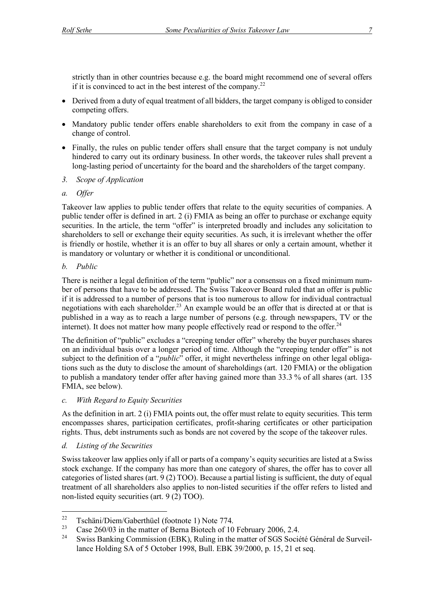strictly than in other countries because e.g. the board might recommend one of several offers if it is convinced to act in the best interest of the company.<sup>22</sup>

- Derived from a duty of equal treatment of all bidders, the target company is obliged to consider competing offers.
- Mandatory public tender offers enable shareholders to exit from the company in case of a change of control.
- Finally, the rules on public tender offers shall ensure that the target company is not unduly hindered to carry out its ordinary business. In other words, the takeover rules shall prevent a long-lasting period of uncertainty for the board and the shareholders of the target company.
- *3. Scope of Application*
- *a. Offer*

Takeover law applies to public tender offers that relate to the equity securities of companies. A public tender offer is defined in art. 2 (i) FMIA as being an offer to purchase or exchange equity securities. In the article, the term "offer" is interpreted broadly and includes any solicitation to shareholders to sell or exchange their equity securities. As such, it is irrelevant whether the offer is friendly or hostile, whether it is an offer to buy all shares or only a certain amount, whether it is mandatory or voluntary or whether it is conditional or unconditional.

## *b. Public*

There is neither a legal definition of the term "public" nor a consensus on a fixed minimum number of persons that have to be addressed. The Swiss Takeover Board ruled that an offer is public if it is addressed to a number of persons that is too numerous to allow for individual contractual negotiations with each shareholder.<sup>23</sup> An example would be an offer that is directed at or that is published in a way as to reach a large number of persons (e.g. through newspapers, TV or the internet). It does not matter how many people effectively read or respond to the offer. $24$ 

The definition of "public" excludes a "creeping tender offer" whereby the buyer purchases shares on an individual basis over a longer period of time. Although the "creeping tender offer" is not subject to the definition of a "*public*" offer, it might nevertheless infringe on other legal obligations such as the duty to disclose the amount of shareholdings (art. 120 FMIA) or the obligation to publish a mandatory tender offer after having gained more than 33.3 % of all shares (art. 135 FMIA, see below).

## *c. With Regard to Equity Securities*

As the definition in art. 2 (i) FMIA points out, the offer must relate to equity securities. This term encompasses shares, participation certificates, profit-sharing certificates or other participation rights. Thus, debt instruments such as bonds are not covered by the scope of the takeover rules.

## *d. Listing of the Securities*

Swiss takeover law applies only if all or parts of a company's equity securities are listed at a Swiss stock exchange. If the company has more than one category of shares, the offer has to cover all categories of listed shares (art. 9 (2) TOO). Because a partial listing is sufficient, the duty of equal treatment of all shareholders also applies to non-listed securities if the offer refers to listed and non-listed equity securities (art. 9 (2) TOO).

<sup>&</sup>lt;sup>22</sup> Tschäni/Diem/Gaberthüel (footnote 1) Note 774.

<sup>&</sup>lt;sup>23</sup> Case 260/03 in the matter of Berna Biotech of 10 February 2006, 2.4.

<sup>24</sup> Swiss Banking Commission (EBK), Ruling in the matter of SGS Société Général de Surveillance Holding SA of 5 October 1998, Bull. EBK 39/2000, p. 15, 21 et seq.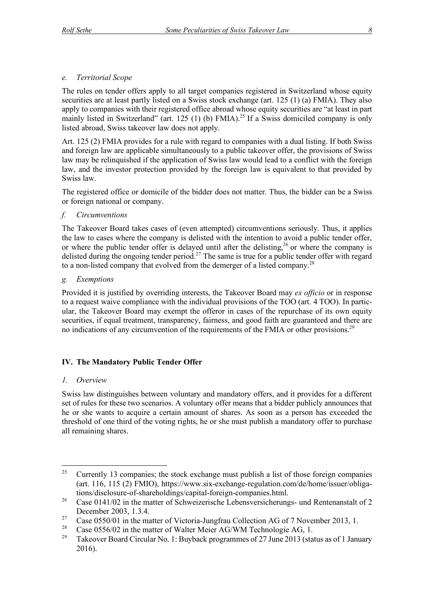## *e. Territorial Scope*

The rules on tender offers apply to all target companies registered in Switzerland whose equity securities are at least partly listed on a Swiss stock exchange (art. 125 (1) (a) FMIA). They also apply to companies with their registered office abroad whose equity securities are "at least in part mainly listed in Switzerland" (art. 125 (1) (b) FMIA).<sup>25</sup> If a Swiss domiciled company is only listed abroad, Swiss takeover law does not apply.

Art. 125 (2) FMIA provides for a rule with regard to companies with a dual listing. If both Swiss and foreign law are applicable simultaneously to a public takeover offer, the provisions of Swiss law may be relinquished if the application of Swiss law would lead to a conflict with the foreign law, and the investor protection provided by the foreign law is equivalent to that provided by Swiss law.

The registered office or domicile of the bidder does not matter. Thus, the bidder can be a Swiss or foreign national or company.

## *f. Circumventions*

The Takeover Board takes cases of (even attempted) circumventions seriously. Thus, it applies the law to cases where the company is delisted with the intention to avoid a public tender offer, or where the public tender offer is delayed until after the delisting,  $26$  or where the company is delisted during the ongoing tender period.<sup>27</sup> The same is true for a public tender offer with regard to a non-listed company that evolved from the demerger of a listed company.28

## *g. Exemptions*

Provided it is justified by overriding interests, the Takeover Board may *ex officio* or in response to a request waive compliance with the individual provisions of the TOO (art. 4 TOO). In particular, the Takeover Board may exempt the offeror in cases of the repurchase of its own equity securities, if equal treatment, transparency, fairness, and good faith are guaranteed and there are no indications of any circumvention of the requirements of the FMIA or other provisions.<sup>29</sup>

## **IV. The Mandatory Public Tender Offer**

## *1. Overview*

Swiss law distinguishes between voluntary and mandatory offers, and it provides for a different set of rules for these two scenarios. A voluntary offer means that a bidder publicly announces that he or she wants to acquire a certain amount of shares. As soon as a person has exceeded the threshold of one third of the voting rights, he or she must publish a mandatory offer to purchase all remaining shares.

<sup>&</sup>lt;sup>25</sup> Currently 13 companies; the stock exchange must publish a list of those foreign companies (art. 116, 115 (2) FMIO), https://www.six-exchange-regulation.com/de/home/issuer/obligations/disclosure-of-shareholdings/capital-foreign-companies.html.

<sup>&</sup>lt;sup>26</sup> Case 0141/02 in the matter of Schweizerische Lebensversicherungs- und Rentenanstalt of 2 December 2003, 1.3.4.

<sup>&</sup>lt;sup>27</sup> Case 0550/01 in the matter of Victoria-Jungfrau Collection AG of 7 November 2013, 1.

<sup>&</sup>lt;sup>28</sup> Case 0556/02 in the matter of Walter Meier AG/WM Technologie AG, 1.<br><sup>29</sup> Telegara Dagad Circular No. 1: Burkagkang suggests of 27 June 2012 (ste

<sup>29</sup> Takeover Board Circular No. 1: Buyback programmes of 27 June 2013 (status as of 1 January 2016).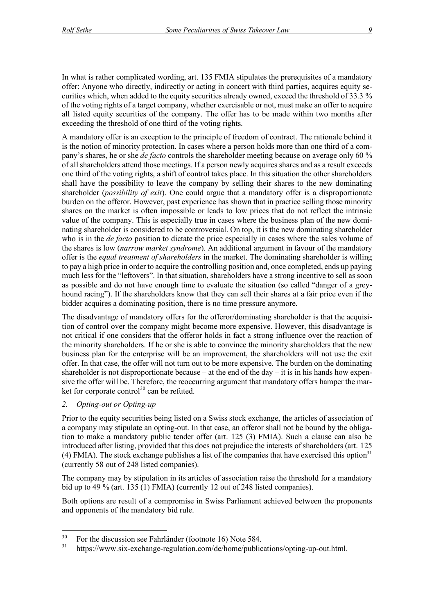In what is rather complicated wording, art. 135 FMIA stipulates the prerequisites of a mandatory offer: Anyone who directly, indirectly or acting in concert with third parties, acquires equity securities which, when added to the equity securities already owned, exceed the threshold of 33.3 % of the voting rights of a target company, whether exercisable or not, must make an offer to acquire all listed equity securities of the company. The offer has to be made within two months after exceeding the threshold of one third of the voting rights.

A mandatory offer is an exception to the principle of freedom of contract. The rationale behind it is the notion of minority protection. In cases where a person holds more than one third of a company's shares, he or she *de facto* controls the shareholder meeting because on average only 60 % of all shareholders attend those meetings. If a person newly acquires shares and as a result exceeds one third of the voting rights, a shift of control takes place. In this situation the other shareholders shall have the possibility to leave the company by selling their shares to the new dominating shareholder (*possibility of exit*). One could argue that a mandatory offer is a disproportionate burden on the offeror. However, past experience has shown that in practice selling those minority shares on the market is often impossible or leads to low prices that do not reflect the intrinsic value of the company. This is especially true in cases where the business plan of the new dominating shareholder is considered to be controversial. On top, it is the new dominating shareholder who is in the *de facto* position to dictate the price especially in cases where the sales volume of the shares is low (*narrow market syndrome*). An additional argument in favour of the mandatory offer is the *equal treatment of shareholders* in the market. The dominating shareholder is willing to pay a high price in order to acquire the controlling position and, once completed, ends up paying much less for the "leftovers". In that situation, shareholders have a strong incentive to sell as soon as possible and do not have enough time to evaluate the situation (so called "danger of a greyhound racing"). If the shareholders know that they can sell their shares at a fair price even if the bidder acquires a dominating position, there is no time pressure anymore.

The disadvantage of mandatory offers for the offeror/dominating shareholder is that the acquisition of control over the company might become more expensive. However, this disadvantage is not critical if one considers that the offeror holds in fact a strong influence over the reaction of the minority shareholders. If he or she is able to convince the minority shareholders that the new business plan for the enterprise will be an improvement, the shareholders will not use the exit offer. In that case, the offer will not turn out to be more expensive. The burden on the dominating shareholder is not disproportionate because – at the end of the day – it is in his hands how expensive the offer will be. Therefore, the reoccurring argument that mandatory offers hamper the market for corporate control<sup>30</sup> can be refuted.

## *2. Opting-out or Opting-up*

Prior to the equity securities being listed on a Swiss stock exchange, the articles of association of a company may stipulate an opting-out. In that case, an offeror shall not be bound by the obligation to make a mandatory public tender offer (art. 125 (3) FMIA). Such a clause can also be introduced after listing, provided that this does not prejudice the interests of shareholders (art. 125 (4) FMIA). The stock exchange publishes a list of the companies that have exercised this option<sup>31</sup> (currently 58 out of 248 listed companies).

The company may by stipulation in its articles of association raise the threshold for a mandatory bid up to 49 % (art. 135 (1) FMIA) (currently 12 out of 248 listed companies).

Both options are result of a compromise in Swiss Parliament achieved between the proponents and opponents of the mandatory bid rule.

 $30\quad$  For the discussion see Fahrländer (footnote 16) Note 584.

<sup>31</sup> https://www.six-exchange-regulation.com/de/home/publications/opting-up-out.html.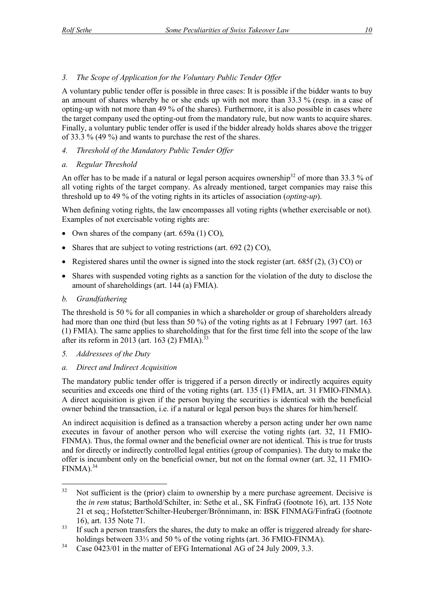A voluntary public tender offer is possible in three cases: It is possible if the bidder wants to buy an amount of shares whereby he or she ends up with not more than 33.3 % (resp. in a case of opting-up with not more than 49 % of the shares). Furthermore, it is also possible in cases where the target company used the opting-out from the mandatory rule, but now wants to acquire shares. Finally, a voluntary public tender offer is used if the bidder already holds shares above the trigger of 33.3 % (49 %) and wants to purchase the rest of the shares.

*4. Threshold of the Mandatory Public Tender Offer*

## *a. Regular Threshold*

An offer has to be made if a natural or legal person acquires ownership<sup>32</sup> of more than 33.3 % of all voting rights of the target company. As already mentioned, target companies may raise this threshold up to 49 % of the voting rights in its articles of association (*opting-up*).

When defining voting rights, the law encompasses all voting rights (whether exercisable or not). Examples of not exercisable voting rights are:

- Own shares of the company (art. 659a (1) CO),
- Shares that are subject to voting restrictions (art. 692 (2) CO),
- Registered shares until the owner is signed into the stock register (art.  $685f(2)$ ,  $(3)$  CO) or
- Shares with suspended voting rights as a sanction for the violation of the duty to disclose the amount of shareholdings (art. 144 (a) FMIA).
- *b. Grandfathering*

The threshold is 50 % for all companies in which a shareholder or group of shareholders already had more than one third (but less than 50 %) of the voting rights as at 1 February 1997 (art. 163 (1) FMIA). The same applies to shareholdings that for the first time fell into the scope of the law after its reform in 2013 (art. 163 (2) FMIA).<sup>33</sup>

- *5. Addressees of the Duty*
- *a. Direct and Indirect Acquisition*

The mandatory public tender offer is triggered if a person directly or indirectly acquires equity securities and exceeds one third of the voting rights (art. 135 (1) FMIA, art. 31 FMIO-FINMA). A direct acquisition is given if the person buying the securities is identical with the beneficial owner behind the transaction, i.e. if a natural or legal person buys the shares for him/herself.

An indirect acquisition is defined as a transaction whereby a person acting under her own name executes in favour of another person who will exercise the voting rights (art. 32, 11 FMIO-FINMA). Thus, the formal owner and the beneficial owner are not identical. This is true for trusts and for directly or indirectly controlled legal entities (group of companies). The duty to make the offer is incumbent only on the beneficial owner, but not on the formal owner (art. 32, 11 FMIO- $FINMA$ ).<sup>34</sup>

 $32$  Not sufficient is the (prior) claim to ownership by a mere purchase agreement. Decisive is the *in rem* status; Barthold/Schilter, in: Sethe et al., SK FinfraG (footnote 16), art. 135 Note 21 et seq.; Hofstetter/Schilter-Heuberger/Brönnimann, in: BSK FINMAG/FinfraG (footnote 16), art. 135 Note 71.

 $33$  If such a person transfers the shares, the duty to make an offer is triggered already for shareholdings between 33⅓ and 50 % of the voting rights (art. 36 FMIO-FINMA).

<sup>&</sup>lt;sup>34</sup> Case  $0423/01$  in the matter of EFG International AG of 24 July 2009, 3.3.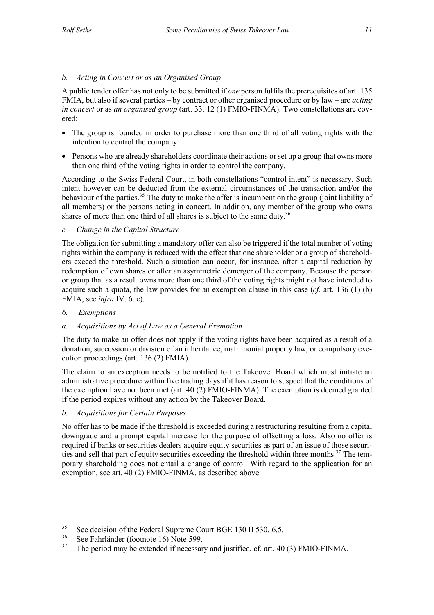## *b. Acting in Concert or as an Organised Group*

A public tender offer has not only to be submitted if *one* person fulfils the prerequisites of art. 135 FMIA, but also if several parties – by contract or other organised procedure or by law – are *acting in concert* or as *an organised group* (art. 33, 12 (1) FMIO-FINMA). Two constellations are covered:

- The group is founded in order to purchase more than one third of all voting rights with the intention to control the company.
- Persons who are already shareholders coordinate their actions or set up a group that owns more than one third of the voting rights in order to control the company.

According to the Swiss Federal Court, in both constellations "control intent" is necessary. Such intent however can be deducted from the external circumstances of the transaction and/or the behaviour of the parties.<sup>35</sup> The duty to make the offer is incumbent on the group (joint liability of all members) or the persons acting in concert. In addition, any member of the group who owns shares of more than one third of all shares is subject to the same duty.<sup>36</sup>

## *c. Change in the Capital Structure*

The obligation for submitting a mandatory offer can also be triggered if the total number of voting rights within the company is reduced with the effect that one shareholder or a group of shareholders exceed the threshold. Such a situation can occur, for instance, after a capital reduction by redemption of own shares or after an asymmetric demerger of the company. Because the person or group that as a result owns more than one third of the voting rights might not have intended to acquire such a quota, the law provides for an exemption clause in this case  $(cf.$  art. 136 (1) (b) FMIA, see *infra* IV. 6. c).

## *6. Exemptions*

## *a. Acquisitions by Act of Law as a General Exemption*

The duty to make an offer does not apply if the voting rights have been acquired as a result of a donation, succession or division of an inheritance, matrimonial property law, or compulsory execution proceedings (art. 136 (2) FMIA).

The claim to an exception needs to be notified to the Takeover Board which must initiate an administrative procedure within five trading days if it has reason to suspect that the conditions of the exemption have not been met (art. 40 (2) FMIO-FINMA). The exemption is deemed granted if the period expires without any action by the Takeover Board.

## *b. Acquisitions for Certain Purposes*

No offer has to be made if the threshold is exceeded during a restructuring resulting from a capital downgrade and a prompt capital increase for the purpose of offsetting a loss. Also no offer is required if banks or securities dealers acquire equity securities as part of an issue of those securities and sell that part of equity securities exceeding the threshold within three months.<sup>37</sup> The temporary shareholding does not entail a change of control. With regard to the application for an exemption, see art. 40 (2) FMIO-FINMA, as described above.

<sup>&</sup>lt;sup>35</sup> See decision of the Federal Supreme Court BGE 130 II 530, 6.5.<br><sup>36</sup> See February (footpote 16) Note 500

 $36$  See Fahrländer (footnote 16) Note 599.

The period may be extended if necessary and justified, cf. art. 40 (3) FMIO-FINMA.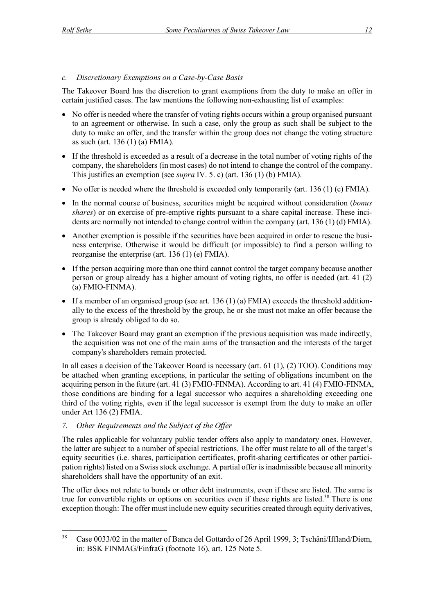## *c. Discretionary Exemptions on a Case-by-Case Basis*

The Takeover Board has the discretion to grant exemptions from the duty to make an offer in certain justified cases. The law mentions the following non-exhausting list of examples:

- No offer is needed where the transfer of voting rights occurs within a group organised pursuant to an agreement or otherwise. In such a case, only the group as such shall be subject to the duty to make an offer, and the transfer within the group does not change the voting structure as such (art. 136 (1) (a) FMIA).
- If the threshold is exceeded as a result of a decrease in the total number of voting rights of the company, the shareholders (in most cases) do not intend to change the control of the company. This justifies an exemption (see *supra* IV. 5. c) (art. 136 (1) (b) FMIA).
- No offer is needed where the threshold is exceeded only temporarily (art. 136 (1) (c) FMIA).
- In the normal course of business, securities might be acquired without consideration (*bonus shares*) or on exercise of pre-emptive rights pursuant to a share capital increase. These incidents are normally not intended to change control within the company (art. 136 (1) (d) FMIA).
- Another exemption is possible if the securities have been acquired in order to rescue the business enterprise. Otherwise it would be difficult (or impossible) to find a person willing to reorganise the enterprise (art. 136 (1) (e) FMIA).
- If the person acquiring more than one third cannot control the target company because another person or group already has a higher amount of voting rights, no offer is needed (art. 41 (2) (a) FMIO-FINMA).
- If a member of an organised group (see art. 136 (1) (a) FMIA) exceeds the threshold additionally to the excess of the threshold by the group, he or she must not make an offer because the group is already obliged to do so.
- The Takeover Board may grant an exemption if the previous acquisition was made indirectly. the acquisition was not one of the main aims of the transaction and the interests of the target company's shareholders remain protected.

In all cases a decision of the Takeover Board is necessary (art. 61 (1), (2) TOO). Conditions may be attached when granting exceptions, in particular the setting of obligations incumbent on the acquiring person in the future (art. 41 (3) FMIO-FINMA). According to art. 41 (4) FMIO-FINMA, those conditions are binding for a legal successor who acquires a shareholding exceeding one third of the voting rights, even if the legal successor is exempt from the duty to make an offer under Art 136 (2) FMIA.

*7. Other Requirements and the Subject of the Offer*

The rules applicable for voluntary public tender offers also apply to mandatory ones. However, the latter are subject to a number of special restrictions. The offer must relate to all of the target's equity securities (i.e. shares, participation certificates, profit-sharing certificates or other participation rights) listed on a Swiss stock exchange. A partial offer is inadmissible because all minority shareholders shall have the opportunity of an exit.

The offer does not relate to bonds or other debt instruments, even if these are listed. The same is true for convertible rights or options on securities even if these rights are listed.<sup>38</sup> There is one exception though: The offer must include new equity securities created through equity derivatives,

<sup>&</sup>lt;sup>38</sup> Case 0033/02 in the matter of Banca del Gottardo of 26 April 1999, 3; Tschäni/Iffland/Diem, in: BSK FINMAG/FinfraG (footnote 16), art. 125 Note 5.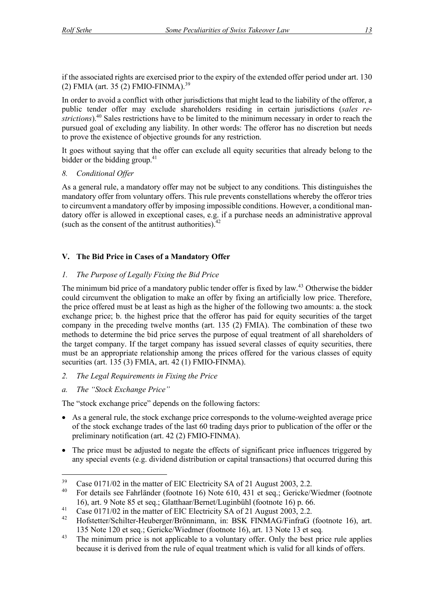if the associated rights are exercised prior to the expiry of the extended offer period under art. 130 (2) FMIA (art. 35 (2) FMIO-FINMA).<sup>39</sup>

In order to avoid a conflict with other jurisdictions that might lead to the liability of the offeror, a public tender offer may exclude shareholders residing in certain jurisdictions (*sales restrictions*).40 Sales restrictions have to be limited to the minimum necessary in order to reach the pursued goal of excluding any liability. In other words: The offeror has no discretion but needs to prove the existence of objective grounds for any restriction.

It goes without saying that the offer can exclude all equity securities that already belong to the bidder or the bidding group. $41$ 

*8. Conditional Offer* 

As a general rule, a mandatory offer may not be subject to any conditions. This distinguishes the mandatory offer from voluntary offers. This rule prevents constellations whereby the offeror tries to circumvent a mandatory offer by imposing impossible conditions. However, a conditional mandatory offer is allowed in exceptional cases, e.g. if a purchase needs an administrative approval (such as the consent of the antitrust authorities). $42$ 

## **V. The Bid Price in Cases of a Mandatory Offer**

## *1. The Purpose of Legally Fixing the Bid Price*

The minimum bid price of a mandatory public tender offer is fixed by law.<sup>43</sup> Otherwise the bidder could circumvent the obligation to make an offer by fixing an artificially low price. Therefore, the price offered must be at least as high as the higher of the following two amounts: a. the stock exchange price; b. the highest price that the offeror has paid for equity securities of the target company in the preceding twelve months (art. 135 (2) FMIA). The combination of these two methods to determine the bid price serves the purpose of equal treatment of all shareholders of the target company. If the target company has issued several classes of equity securities, there must be an appropriate relationship among the prices offered for the various classes of equity securities (art. 135 (3) FMIA, art. 42 (1) FMIO-FINMA).

- *2. The Legal Requirements in Fixing the Price*
- *a. The "Stock Exchange Price"*

The "stock exchange price" depends on the following factors:

- As a general rule, the stock exchange price corresponds to the volume-weighted average price of the stock exchange trades of the last 60 trading days prior to publication of the offer or the preliminary notification (art. 42 (2) FMIO-FINMA).
- The price must be adjusted to negate the effects of significant price influences triggered by any special events (e.g. dividend distribution or capital transactions) that occurred during this

<sup>&</sup>lt;sup>39</sup> Case 0171/02 in the matter of EIC Electricity SA of 21 August 2003, 2.2.<br><sup>40</sup> Ear details see February (features 16) Note 610, 431 at see : Gerielra/

<sup>40</sup> For details see Fahrländer (footnote 16) Note 610, 431 et seq.; Gericke/Wiedmer (footnote 16), art. 9 Note 85 et seq.; Glatthaar/Bernet/Luginbühl (footnote 16) p. 66.

<sup>&</sup>lt;sup>41</sup> Case 0171/02 in the matter of EIC Electricity SA of 21 August 2003, 2.2.

<sup>42</sup> Hofstetter/Schilter-Heuberger/Brönnimann, in: BSK FINMAG/FinfraG (footnote 16), art. 135 Note 120 et seq.; Gericke/Wiedmer (footnote 16), art. 13 Note 13 et seq.

 $43$  The minimum price is not applicable to a voluntary offer. Only the best price rule applies because it is derived from the rule of equal treatment which is valid for all kinds of offers.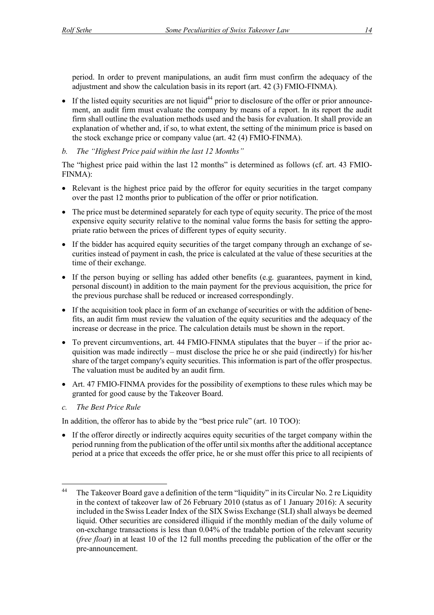period. In order to prevent manipulations, an audit firm must confirm the adequacy of the adjustment and show the calculation basis in its report (art. 42 (3) FMIO-FINMA).

- $\bullet$  If the listed equity securities are not liquid<sup>44</sup> prior to disclosure of the offer or prior announcement, an audit firm must evaluate the company by means of a report. In its report the audit firm shall outline the evaluation methods used and the basis for evaluation. It shall provide an explanation of whether and, if so, to what extent, the setting of the minimum price is based on the stock exchange price or company value (art. 42 (4) FMIO-FINMA).
- *b. The "Highest Price paid within the last 12 Months"*

The "highest price paid within the last 12 months" is determined as follows (cf. art. 43 FMIO-FINMA):

- Relevant is the highest price paid by the offeror for equity securities in the target company over the past 12 months prior to publication of the offer or prior notification.
- The price must be determined separately for each type of equity security. The price of the most expensive equity security relative to the nominal value forms the basis for setting the appropriate ratio between the prices of different types of equity security.
- If the bidder has acquired equity securities of the target company through an exchange of securities instead of payment in cash, the price is calculated at the value of these securities at the time of their exchange.
- If the person buying or selling has added other benefits (e.g. guarantees, payment in kind, personal discount) in addition to the main payment for the previous acquisition, the price for the previous purchase shall be reduced or increased correspondingly.
- If the acquisition took place in form of an exchange of securities or with the addition of benefits, an audit firm must review the valuation of the equity securities and the adequacy of the increase or decrease in the price. The calculation details must be shown in the report.
- To prevent circumventions, art. 44 FMIO-FINMA stipulates that the buyer  $-$  if the prior acquisition was made indirectly – must disclose the price he or she paid (indirectly) for his/her share of the target company's equity securities. This information is part of the offer prospectus. The valuation must be audited by an audit firm.
- Art. 47 FMIO-FINMA provides for the possibility of exemptions to these rules which may be granted for good cause by the Takeover Board.
- *c. The Best Price Rule*

In addition, the offeror has to abide by the "best price rule" (art. 10 TOO):

• If the offeror directly or indirectly acquires equity securities of the target company within the period running from the publication of the offer until six months after the additional acceptance period at a price that exceeds the offer price, he or she must offer this price to all recipients of

<sup>&</sup>lt;sup>44</sup> The Takeover Board gave a definition of the term "liquidity" in its Circular No. 2 re Liquidity in the context of takeover law of 26 February 2010 (status as of 1 January 2016): A security included in the Swiss Leader Index of the SIX Swiss Exchange (SLI) shall always be deemed liquid. Other securities are considered illiquid if the monthly median of the daily volume of on-exchange transactions is less than 0.04% of the tradable portion of the relevant security (*free float*) in at least 10 of the 12 full months preceding the publication of the offer or the pre-announcement.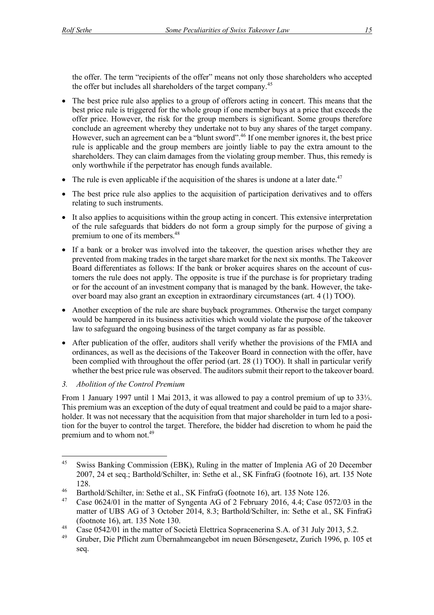the offer. The term "recipients of the offer" means not only those shareholders who accepted the offer but includes all shareholders of the target company.<sup>45</sup>

- The best price rule also applies to a group of offerors acting in concert. This means that the best price rule is triggered for the whole group if one member buys at a price that exceeds the offer price. However, the risk for the group members is significant. Some groups therefore conclude an agreement whereby they undertake not to buy any shares of the target company. However, such an agreement can be a "blunt sword".<sup>46</sup> If one member ignores it, the best price rule is applicable and the group members are jointly liable to pay the extra amount to the shareholders. They can claim damages from the violating group member. Thus, this remedy is only worthwhile if the perpetrator has enough funds available.
- The rule is even applicable if the acquisition of the shares is undone at a later date.<sup>47</sup>
- The best price rule also applies to the acquisition of participation derivatives and to offers relating to such instruments.
- It also applies to acquisitions within the group acting in concert. This extensive interpretation of the rule safeguards that bidders do not form a group simply for the purpose of giving a premium to one of its members.<sup>48</sup>
- If a bank or a broker was involved into the takeover, the question arises whether they are prevented from making trades in the target share market for the next six months. The Takeover Board differentiates as follows: If the bank or broker acquires shares on the account of customers the rule does not apply. The opposite is true if the purchase is for proprietary trading or for the account of an investment company that is managed by the bank. However, the takeover board may also grant an exception in extraordinary circumstances (art. 4 (1) TOO).
- Another exception of the rule are share buyback programmes. Otherwise the target company would be hampered in its business activities which would violate the purpose of the takeover law to safeguard the ongoing business of the target company as far as possible.
- After publication of the offer, auditors shall verify whether the provisions of the FMIA and ordinances, as well as the decisions of the Takeover Board in connection with the offer, have been complied with throughout the offer period (art. 28 (1) TOO). It shall in particular verify whether the best price rule was observed. The auditors submit their report to the takeover board.

## *3. Abolition of the Control Premium*

From 1 January 1997 until 1 Mai 2013, it was allowed to pay a control premium of up to 33⅓. This premium was an exception of the duty of equal treatment and could be paid to a major shareholder. It was not necessary that the acquisition from that major shareholder in turn led to a position for the buyer to control the target. Therefore, the bidder had discretion to whom he paid the premium and to whom not.<sup>49</sup>

 <sup>45</sup> Swiss Banking Commission (EBK), Ruling in the matter of Implenia AG of 20 December 2007, 24 et seq.; Barthold/Schilter, in: Sethe et al., SK FinfraG (footnote 16), art. 135 Note 128.

<sup>&</sup>lt;sup>46</sup> Barthold/Schilter, in: Sethe et al., SK FinfraG (footnote 16), art. 135 Note 126.<br><sup>47</sup> Case 0624/01 in the matter of Sympatic AG of 2 February 2016, 4.4: Case 01

Case 0624/01 in the matter of Syngenta AG of 2 February 2016, 4.4; Case 0572/03 in the matter of UBS AG of 3 October 2014, 8.3; Barthold/Schilter, in: Sethe et al., SK FinfraG (footnote 16), art. 135 Note 130.

<sup>&</sup>lt;sup>48</sup> Case 0542/01 in the matter of Società Elettrica Sopracenerina S.A. of 31 July 2013, 5.2.

<sup>49</sup> Gruber, Die Pflicht zum Übernahmeangebot im neuen Börsengesetz, Zurich 1996, p. 105 et seq.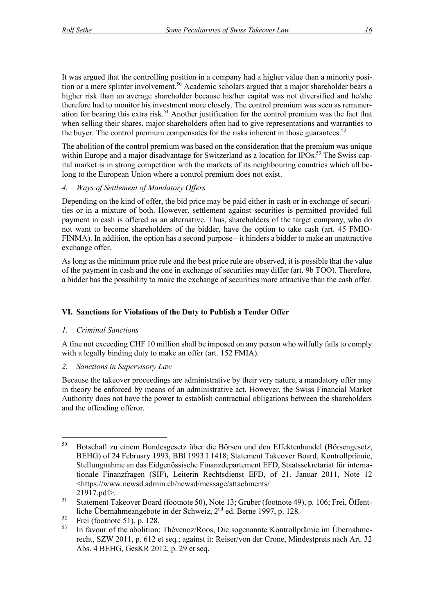It was argued that the controlling position in a company had a higher value than a minority position or a mere splinter involvement.<sup>50</sup> Academic scholars argued that a major shareholder bears a higher risk than an average shareholder because his/her capital was not diversified and he/she therefore had to monitor his investment more closely. The control premium was seen as remuneration for bearing this extra risk.<sup>51</sup> Another justification for the control premium was the fact that when selling their shares, major shareholders often had to give representations and warranties to the buyer. The control premium compensates for the risks inherent in those guarantees.<sup>52</sup>

The abolition of the control premium was based on the consideration that the premium was unique within Europe and a major disadvantage for Switzerland as a location for IPOs.<sup>53</sup> The Swiss capital market is in strong competition with the markets of its neighbouring countries which all belong to the European Union where a control premium does not exist.

## *4. Ways of Settlement of Mandatory Offers*

Depending on the kind of offer, the bid price may be paid either in cash or in exchange of securities or in a mixture of both. However, settlement against securities is permitted provided full payment in cash is offered as an alternative. Thus, shareholders of the target company, who do not want to become shareholders of the bidder, have the option to take cash (art. 45 FMIO-FINMA). In addition, the option has a second purpose – it hinders a bidder to make an unattractive exchange offer.

As long as the minimum price rule and the best price rule are observed, it is possible that the value of the payment in cash and the one in exchange of securities may differ (art. 9b TOO). Therefore, a bidder has the possibility to make the exchange of securities more attractive than the cash offer.

## **VI. Sanctions for Violations of the Duty to Publish a Tender Offer**

## *1. Criminal Sanctions*

A fine not exceeding CHF 10 million shall be imposed on any person who wilfully fails to comply with a legally binding duty to make an offer (art. 152 FMIA).

*2. Sanctions in Supervisory Law*

Because the takeover proceedings are administrative by their very nature, a mandatory offer may in theory be enforced by means of an administrative act. However, the Swiss Financial Market Authority does not have the power to establish contractual obligations between the shareholders and the offending offeror.

 <sup>50</sup> Botschaft zu einem Bundesgesetz über die Börsen und den Effektenhandel (Börsengesetz, BEHG) of 24 February 1993, BBl 1993 I 1418; Statement Takeover Board, Kontrollprämie, Stellungnahme an das Eidgenössische Finanzdepartement EFD, Staatssekretariat für internationale Finanzfragen (SIF), Leiterin Rechtsdienst EFD, of 21. Januar 2011, Note 12 <https://www.newsd.admin.ch/newsd/message/attachments/ 21917.pdf>.

<sup>&</sup>lt;sup>51</sup> Statement Takeover Board (footnote 50), Note 13; Gruber (footnote 49), p. 106; Frei, Öffentliche Übernahmeangebote in der Schweiz, 2nd ed. Berne 1997, p. 128.

 $52$  Frei (footnote 51), p. 128.

<sup>53</sup> In favour of the abolition: Thévenoz/Roos, Die sogenannte Kontrollprämie im Übernahmerecht, SZW 2011, p. 612 et seq.; against it: Reiser/von der Crone, Mindestpreis nach Art. 32 Abs. 4 BEHG, GesKR 2012, p. 29 et seq.